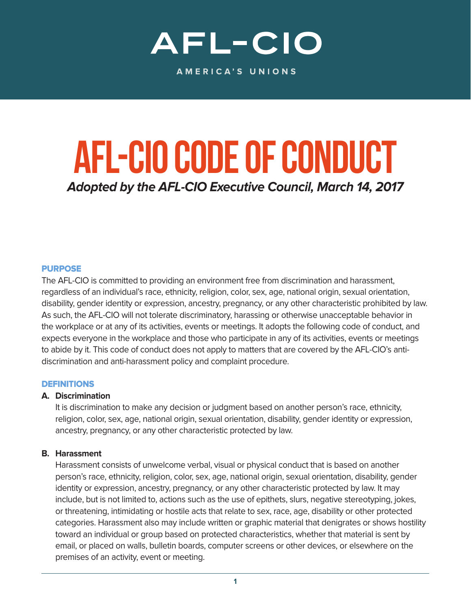# AFL-CIO

AMERICA'S UNIONS

# **AFL-CIO Code of Conduct**

**Adopted by the AFL-CIO Executive Council, March 14, 2017**

#### PURPOSE

The AFL-CIO is committed to providing an environment free from discrimination and harassment, regardless of an individual's race, ethnicity, religion, color, sex, age, national origin, sexual orientation, disability, gender identity or expression, ancestry, pregnancy, or any other characteristic prohibited by law. As such, the AFL-CIO will not tolerate discriminatory, harassing or otherwise unacceptable behavior in the workplace or at any of its activities, events or meetings. It adopts the following code of conduct, and expects everyone in the workplace and those who participate in any of its activities, events or meetings to abide by it. This code of conduct does not apply to matters that are covered by the AFL-CIO's antidiscrimination and anti-harassment policy and complaint procedure.

#### DEFINITIONS

#### **A. Discrimination**

 It is discrimination to make any decision or judgment based on another person's race, ethnicity, religion, color, sex, age, national origin, sexual orientation, disability, gender identity or expression, ancestry, pregnancy, or any other characteristic protected by law.

#### **B. Harassment**

 Harassment consists of unwelcome verbal, visual or physical conduct that is based on another person's race, ethnicity, religion, color, sex, age, national origin, sexual orientation, disability, gender identity or expression, ancestry, pregnancy, or any other characteristic protected by law. It may include, but is not limited to, actions such as the use of epithets, slurs, negative stereotyping, jokes, or threatening, intimidating or hostile acts that relate to sex, race, age, disability or other protected categories. Harassment also may include written or graphic material that denigrates or shows hostility toward an individual or group based on protected characteristics, whether that material is sent by email, or placed on walls, bulletin boards, computer screens or other devices, or elsewhere on the premises of an activity, event or meeting.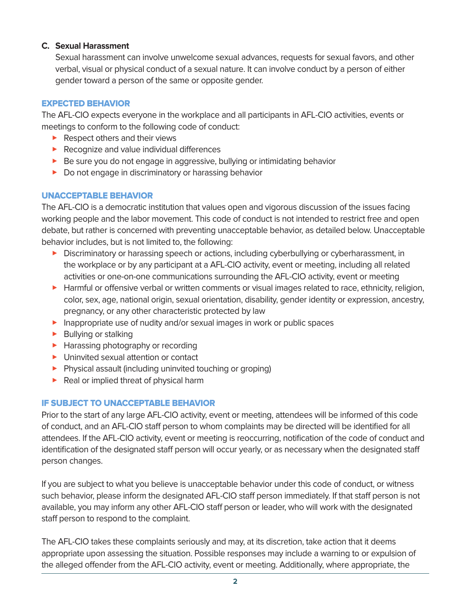### **C. Sexual Harassment**

 Sexual harassment can involve unwelcome sexual advances, requests for sexual favors, and other verbal, visual or physical conduct of a sexual nature. It can involve conduct by a person of either gender toward a person of the same or opposite gender.

# EXPECTED BEHAVIOR

The AFL-CIO expects everyone in the workplace and all participants in AFL-CIO activities, events or meetings to conform to the following code of conduct:

- ▶ Respect others and their views
- ▶ Recognize and value individual differences
- ▶ Be sure you do not engage in aggressive, bullying or intimidating behavior
- ▶ Do not engage in discriminatory or harassing behavior

## UNACCEPTABLE BEHAVIOR

The AFL-CIO is a democratic institution that values open and vigorous discussion of the issues facing working people and the labor movement. This code of conduct is not intended to restrict free and open debate, but rather is concerned with preventing unacceptable behavior, as detailed below. Unacceptable behavior includes, but is not limited to, the following:

- **Discriminatory or harassing speech or actions, including cyberbullying or cyberharassment, in** the workplace or by any participant at a AFL-CIO activity, event or meeting, including all related activities or one-on-one communications surrounding the AFL-CIO activity, event or meeting
- > Harmful or offensive verbal or written comments or visual images related to race, ethnicity, religion, color, sex, age, national origin, sexual orientation, disability, gender identity or expression, ancestry, pregnancy, or any other characteristic protected by law
- **Inappropriate use of nudity and/or sexual images in work or public spaces**
- **>** Bullying or stalking
- ▶ Harassing photography or recording
- > Uninvited sexual attention or contact
- > Physical assault (including uninvited touching or groping)
- > Real or implied threat of physical harm

# IF SUBJECT TO UNACCEPTABLE BEHAVIOR

Prior to the start of any large AFL-CIO activity, event or meeting, attendees will be informed of this code of conduct, and an AFL-CIO staff person to whom complaints may be directed will be identified for all attendees. If the AFL-CIO activity, event or meeting is reoccurring, notification of the code of conduct and identification of the designated staff person will occur yearly, or as necessary when the designated staff person changes.

If you are subject to what you believe is unacceptable behavior under this code of conduct, or witness such behavior, please inform the designated AFL-CIO staff person immediately. If that staff person is not available, you may inform any other AFL-CIO staff person or leader, who will work with the designated staff person to respond to the complaint.

The AFL-CIO takes these complaints seriously and may, at its discretion, take action that it deems appropriate upon assessing the situation. Possible responses may include a warning to or expulsion of the alleged offender from the AFL-CIO activity, event or meeting. Additionally, where appropriate, the